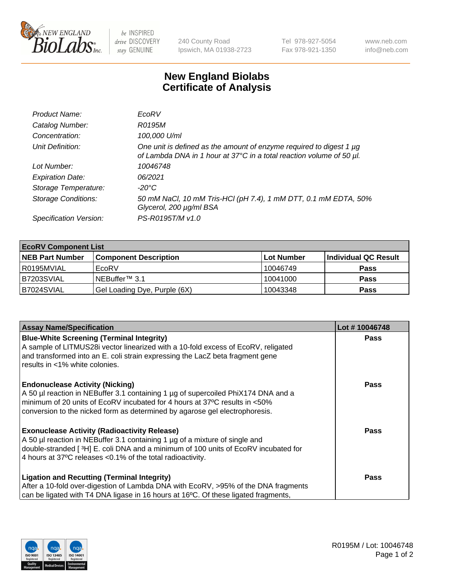

be INSPIRED drive DISCOVERY stay GENUINE

240 County Road Ipswich, MA 01938-2723 Tel 978-927-5054 Fax 978-921-1350 www.neb.com info@neb.com

## **New England Biolabs Certificate of Analysis**

| Product Name:              | EcoRV                                                                                                                                       |
|----------------------------|---------------------------------------------------------------------------------------------------------------------------------------------|
| Catalog Number:            | R0195M                                                                                                                                      |
| Concentration:             | 100,000 U/ml                                                                                                                                |
| Unit Definition:           | One unit is defined as the amount of enzyme required to digest 1 µg<br>of Lambda DNA in 1 hour at 37°C in a total reaction volume of 50 µl. |
| Lot Number:                | 10046748                                                                                                                                    |
| <b>Expiration Date:</b>    | 06/2021                                                                                                                                     |
| Storage Temperature:       | -20°C                                                                                                                                       |
| <b>Storage Conditions:</b> | 50 mM NaCl, 10 mM Tris-HCl (pH 7.4), 1 mM DTT, 0.1 mM EDTA, 50%<br>Glycerol, 200 µg/ml BSA                                                  |
| Specification Version:     | PS-R0195T/M v1.0                                                                                                                            |

| <b>EcoRV Component List</b> |                              |            |                      |  |  |
|-----------------------------|------------------------------|------------|----------------------|--|--|
| <b>NEB Part Number</b>      | <b>Component Description</b> | Lot Number | Individual QC Result |  |  |
| R0195MVIAL                  | EcoRV                        | 10046749   | <b>Pass</b>          |  |  |
| B7203SVIAL                  | NEBuffer <sup>™</sup> 3.1    | 10041000   | <b>Pass</b>          |  |  |
| B7024SVIAL                  | Gel Loading Dye, Purple (6X) | 10043348   | <b>Pass</b>          |  |  |

| <b>Assay Name/Specification</b>                                                                                                                           | Lot #10046748 |
|-----------------------------------------------------------------------------------------------------------------------------------------------------------|---------------|
| <b>Blue-White Screening (Terminal Integrity)</b>                                                                                                          | <b>Pass</b>   |
| A sample of LITMUS28i vector linearized with a 10-fold excess of EcoRV, religated                                                                         |               |
| and transformed into an E. coli strain expressing the LacZ beta fragment gene<br>results in <1% white colonies.                                           |               |
|                                                                                                                                                           |               |
| <b>Endonuclease Activity (Nicking)</b>                                                                                                                    | Pass          |
| A 50 µl reaction in NEBuffer 3.1 containing 1 µg of supercoiled PhiX174 DNA and a                                                                         |               |
| minimum of 20 units of EcoRV incubated for 4 hours at 37°C results in <50%<br>conversion to the nicked form as determined by agarose gel electrophoresis. |               |
|                                                                                                                                                           |               |
| <b>Exonuclease Activity (Radioactivity Release)</b>                                                                                                       | Pass          |
| A 50 µl reaction in NEBuffer 3.1 containing 1 µg of a mixture of single and                                                                               |               |
| double-stranded [ <sup>3</sup> H] E. coli DNA and a minimum of 100 units of EcoRV incubated for                                                           |               |
| 4 hours at 37°C releases < 0.1% of the total radioactivity.                                                                                               |               |
| <b>Ligation and Recutting (Terminal Integrity)</b>                                                                                                        | <b>Pass</b>   |
| After a 10-fold over-digestion of Lambda DNA with EcoRV, >95% of the DNA fragments                                                                        |               |
| can be ligated with T4 DNA ligase in 16 hours at 16 $\degree$ C. Of these ligated fragments,                                                              |               |